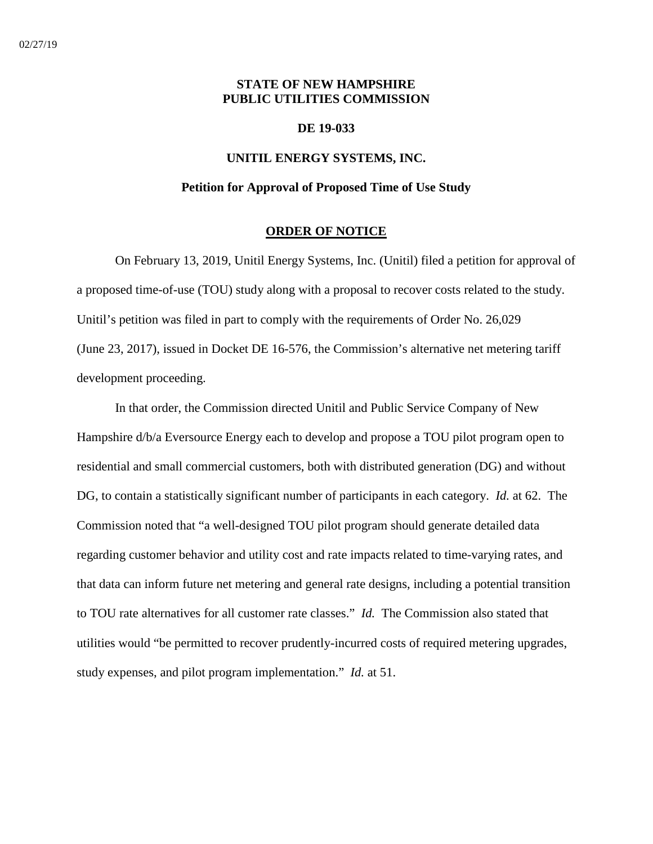# **STATE OF NEW HAMPSHIRE PUBLIC UTILITIES COMMISSION**

### **DE 19-033**

# **UNITIL ENERGY SYSTEMS, INC.**

# **Petition for Approval of Proposed Time of Use Study**

### **ORDER OF NOTICE**

On February 13, 2019, Unitil Energy Systems, Inc. (Unitil) filed a petition for approval of a proposed time-of-use (TOU) study along with a proposal to recover costs related to the study. Unitil's petition was filed in part to comply with the requirements of Order No. 26,029 (June 23, 2017), issued in Docket DE 16-576, the Commission's alternative net metering tariff development proceeding.

In that order, the Commission directed Unitil and Public Service Company of New Hampshire d/b/a Eversource Energy each to develop and propose a TOU pilot program open to residential and small commercial customers, both with distributed generation (DG) and without DG, to contain a statistically significant number of participants in each category. *Id.* at 62. The Commission noted that "a well-designed TOU pilot program should generate detailed data regarding customer behavior and utility cost and rate impacts related to time-varying rates, and that data can inform future net metering and general rate designs, including a potential transition to TOU rate alternatives for all customer rate classes." *Id.* The Commission also stated that utilities would "be permitted to recover prudently-incurred costs of required metering upgrades, study expenses, and pilot program implementation." *Id.* at 51.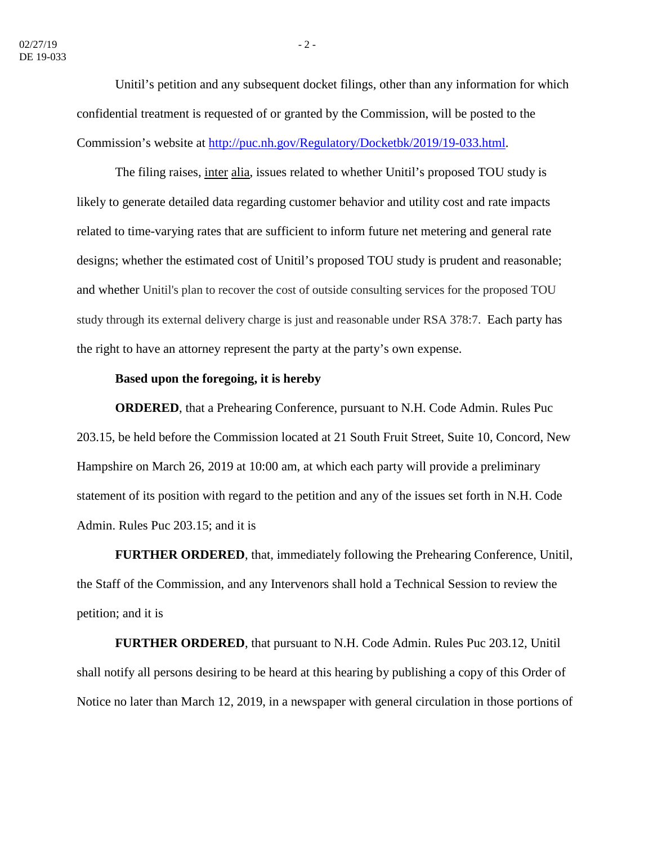Unitil's petition and any subsequent docket filings, other than any information for which confidential treatment is requested of or granted by the Commission, will be posted to the Commission's website at http://puc.nh.gov/Regulatory/Docketbk/2019/19-033.html.

The filing raises, inter alia, issues related to whether Unitil's proposed TOU study is likely to generate detailed data regarding customer behavior and utility cost and rate impacts related to time-varying rates that are sufficient to inform future net metering and general rate designs; whether the estimated cost of Unitil's proposed TOU study is prudent and reasonable; and whether Unitil's plan to recover the cost of outside consulting services for the proposed TOU study through its external delivery charge is just and reasonable under RSA 378:7. Each party has the right to have an attorney represent the party at the party's own expense.

# **Based upon the foregoing, it is hereby**

**ORDERED**, that a Prehearing Conference, pursuant to N.H. Code Admin. Rules Puc 203.15, be held before the Commission located at 21 South Fruit Street, Suite 10, Concord, New Hampshire on March 26, 2019 at 10:00 am, at which each party will provide a preliminary statement of its position with regard to the petition and any of the issues set forth in N.H. Code Admin. Rules Puc 203.15; and it is

**FURTHER ORDERED**, that, immediately following the Prehearing Conference, Unitil, the Staff of the Commission, and any Intervenors shall hold a Technical Session to review the petition; and it is

**FURTHER ORDERED**, that pursuant to N.H. Code Admin. Rules Puc 203.12, Unitil shall notify all persons desiring to be heard at this hearing by publishing a copy of this Order of Notice no later than March 12, 2019, in a newspaper with general circulation in those portions of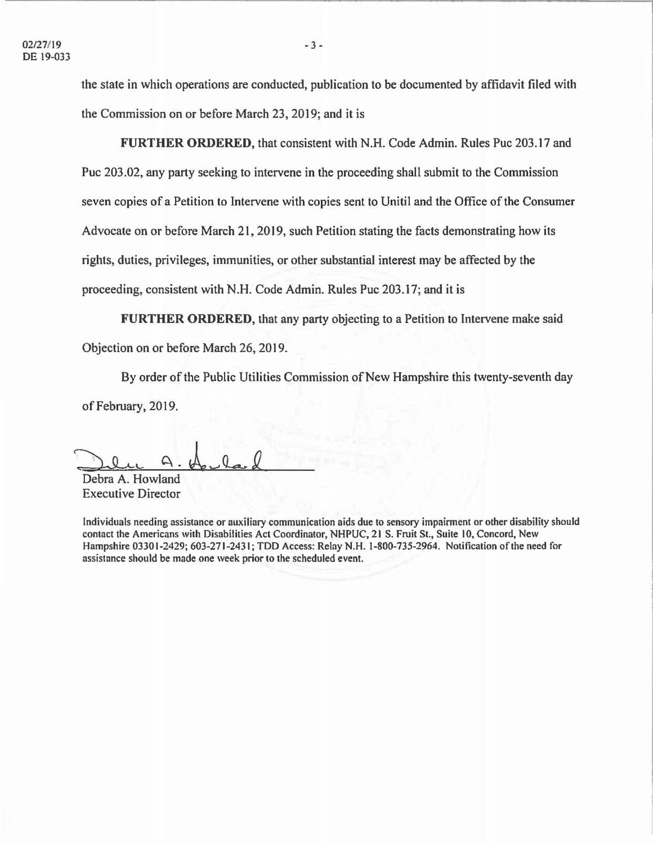the state in which operations are conducted, publication to be documented by affidavit filed with the Commission on or before March 23, 2019; and it is

**FURTHER ORDERED,** that consistent with N.H. Code Admin. Rules Puc 203.17 and Puc 203.02, any party seeking to intervene in the proceeding shall submit to the Commission seven copies of a Petition to Intervene with copies sent to Unitil and the Office of the Consumer Advocate on or before March 21, 2019, such Petition stating the facts demonstrating how its rights, duties, privileges, immunities, or other substantial interest may be affected by the proceeding, consistent with N.H. Code Admin. Rules Puc 203.17; and it is

**FURTHER ORDERED,** that any party objecting to a Petition to Intervene make said Objection on or before March 26, 2019.

By order of the Public Utilities Commission of New Hampshire this twenty-seventh day of February, 2019.

Debra A. Howland Executive Director

Individuals needing assistance or auxiliary communication aids due to sensory impainnent or other disability should contact the Americans with Disabilities Act Coordinator, NHPUC, 21 S. Fruit St., Suite 10, Concord, New Hampshire 03301-2429; 603-271-2431 ; TDD Access: Relay N.H. 1-800-735-2964. Notification of the need for assistance should be made one week prior to the scheduled event.